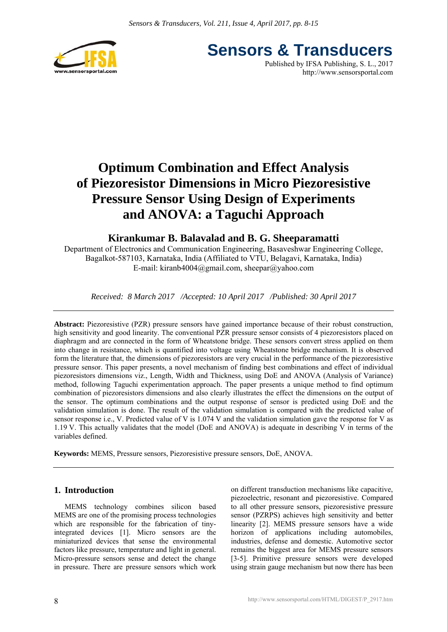

**Sensors & Transducers** Published by IFSA Publishing, S. L., 2017

http://www.sensorsportal.com

# **Optimum Combination and Effect Analysis of Piezoresistor Dimensions in Micro Piezoresistive Pressure Sensor Using Design of Experiments and ANOVA: a Taguchi Approach**

# **Kirankumar B. Balavalad and B. G. Sheeparamatti**

Department of Electronics and Communication Engineering, Basaveshwar Engineering College, Bagalkot-587103, Karnataka, India (Affiliated to VTU, Belagavi, Karnataka, India) E-mail: kiranb4004@gmail.com, sheepar@yahoo.com

*Received: 8 March 2017 /Accepted: 10 April 2017 /Published: 30 April 2017* 

**Abstract:** Piezoresistive (PZR) pressure sensors have gained importance because of their robust construction, high sensitivity and good linearity. The conventional PZR pressure sensor consists of 4 piezoresistors placed on diaphragm and are connected in the form of Wheatstone bridge. These sensors convert stress applied on them into change in resistance, which is quantified into voltage using Wheatstone bridge mechanism. It is observed form the literature that, the dimensions of piezoresistors are very crucial in the performance of the piezoresistive pressure sensor. This paper presents, a novel mechanism of finding best combinations and effect of individual piezoresistors dimensions viz., Length, Width and Thickness, using DoE and ANOVA (Analysis of Variance) method, following Taguchi experimentation approach. The paper presents a unique method to find optimum combination of piezoresistors dimensions and also clearly illustrates the effect the dimensions on the output of the sensor. The optimum combinations and the output response of sensor is predicted using DoE and the validation simulation is done. The result of the validation simulation is compared with the predicted value of sensor response i.e., V. Predicted value of V is 1.074 V and the validation simulation gave the response for V as 1.19 V. This actually validates that the model (DoE and ANOVA) is adequate in describing V in terms of the variables defined.

**Keywords:** MEMS, Pressure sensors, Piezoresistive pressure sensors, DoE, ANOVA.

# **1. Introduction**

MEMS technology combines silicon based MEMS are one of the promising process technologies which are responsible for the fabrication of tinyintegrated devices [1]. Micro sensors are the miniaturized devices that sense the environmental factors like pressure, temperature and light in general. Micro-pressure sensors sense and detect the change in pressure. There are pressure sensors which work on different transduction mechanisms like capacitive, piezoelectric, resonant and piezoresistive. Compared to all other pressure sensors, piezoresistive pressure sensor (PZRPS) achieves high sensitivity and better linearity [2]. MEMS pressure sensors have a wide horizon of applications including automobiles, industries, defense and domestic. Automotive sector remains the biggest area for MEMS pressure sensors [3-5]. Primitive pressure sensors were developed using strain gauge mechanism but now there has been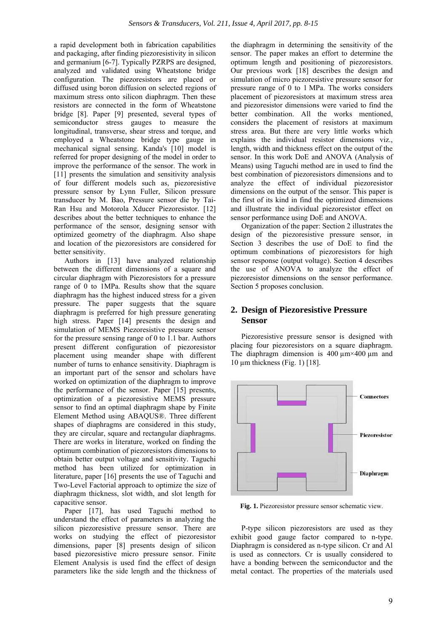a rapid development both in fabrication capabilities and packaging, after finding piezoresistivity in silicon and germanium [6-7]. Typically PZRPS are designed, analyzed and validated using Wheatstone bridge configuration. The piezoresistors are placed or diffused using boron diffusion on selected regions of maximum stress onto silicon diaphragm. Then these resistors are connected in the form of Wheatstone bridge [8]. Paper [9] presented, several types of semiconductor stress gauges to measure the longitudinal, transverse, shear stress and torque, and employed a Wheatstone bridge type gauge in mechanical signal sensing. Kanda's [10] model is referred for proper designing of the model in order to improve the performance of the sensor. The work in [11] presents the simulation and sensitivity analysis of four different models such as, piezoresistive pressure sensor by Lynn Fuller, Silicon pressure transducer by M. Bao, Pressure sensor die by Tai-Ran Hsu and Motorola Xducer Piezoresistor. [12] describes about the better techniques to enhance the performance of the sensor, designing sensor with optimized geometry of the diaphragm. Also shape and location of the piezoresistors are considered for better sensitivity.

Authors in [13] have analyzed relationship between the different dimensions of a square and circular diaphragm with Piezoresistors for a pressure range of 0 to 1MPa. Results show that the square diaphragm has the highest induced stress for a given pressure. The paper suggests that the square diaphragm is preferred for high pressure generating high stress. Paper [14] presents the design and simulation of MEMS Piezoresistive pressure sensor for the pressure sensing range of 0 to 1.1 bar. Authors present different configuration of piezoresistor placement using meander shape with different number of turns to enhance sensitivity. Diaphragm is an important part of the sensor and scholars have worked on optimization of the diaphragm to improve the performance of the sensor. Paper [15] presents, optimization of a piezoresistive MEMS pressure sensor to find an optimal diaphragm shape by Finite Element Method using ABAQUS®. Three different shapes of diaphragms are considered in this study, they are circular, square and rectangular diaphragms. There are works in literature, worked on finding the optimum combination of piezoresistors dimensions to obtain better output voltage and sensitivity. Taguchi method has been utilized for optimization in literature, paper [16] presents the use of Taguchi and Two-Level Factorial approach to optimize the size of diaphragm thickness, slot width, and slot length for capacitive sensor.

Paper [17], has used Taguchi method to understand the effect of parameters in analyzing the silicon piezoresistive pressure sensor. There are works on studying the effect of piezoresistor dimensions, paper [8] presents design of silicon based piezoresistive micro pressure sensor. Finite Element Analysis is used find the effect of design parameters like the side length and the thickness of the diaphragm in determining the sensitivity of the sensor. The paper makes an effort to determine the optimum length and positioning of piezoresistors. Our previous work [18] describes the design and simulation of micro piezoresistive pressure sensor for pressure range of 0 to 1 MPa. The works considers placement of piezoresistors at maximum stress area and piezoresistor dimensions were varied to find the better combination. All the works mentioned, considers the placement of resistors at maximum stress area. But there are very little works which explains the individual resistor dimensions viz., length, width and thickness effect on the output of the sensor. In this work DoE and ANOVA (Analysis of Means) using Taguchi method are in used to find the best combination of piezoresistors dimensions and to analyze the effect of individual piezoresistor dimensions on the output of the sensor. This paper is the first of its kind in find the optimized dimensions and illustrate the individual piezoresistor effect on sensor performance using DoE and ANOVA.

Organization of the paper: Section 2 illustrates the design of the piezoresistive pressure sensor, in Section 3 describes the use of DoE to find the optimum combinations of piezoresistors for high sensor response (output voltage). Section 4 describes the use of ANOVA to analyze the effect of piezoresistor dimensions on the sensor performance. Section 5 proposes conclusion.

# **2. Design of Piezoresistive Pressure Sensor**

Piezoresistive pressure sensor is designed with placing four piezoresistors on a square diaphragm. The diaphragm dimension is  $400 \mu m \times 400 \mu m$  and 10 µm thickness (Fig. 1) [18].



**Fig. 1.** Piezoresistor pressure sensor schematic view.

P-type silicon piezoresistors are used as they exhibit good gauge factor compared to n-type. Diaphragm is considered as n-type silicon. Cr and Al is used as connectors. Cr is usually considered to have a bonding between the semiconductor and the metal contact. The properties of the materials used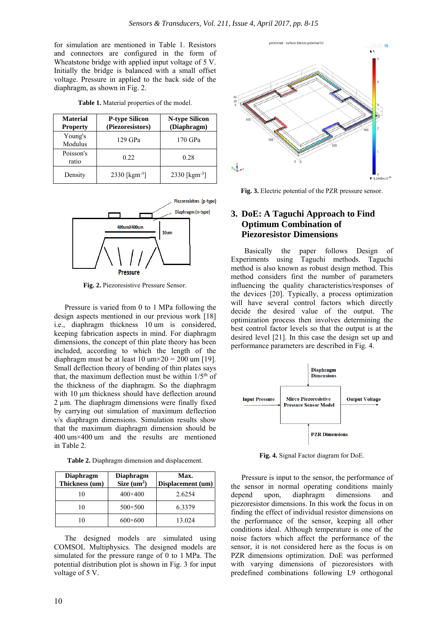for simulation are mentioned in Table 1. Resistors and connectors are configured in the form of Wheatstone bridge with applied input voltage of 5 V. Initially the bridge is balanced with a small offset voltage. Pressure in applied to the back side of the diaphragm, as shown in Fig. 2.

| Material<br><b>Property</b> | <b>P-type Silicon</b><br>(Piezoresistors) | <b>N-type Silicon</b><br>(Diaphragm) |  |
|-----------------------------|-------------------------------------------|--------------------------------------|--|
| Young's<br>Modulus          | $129$ GPa                                 | 170 GPa                              |  |
| Poisson's<br>ratio          | 0.22                                      | 0.28                                 |  |
| Density                     | 2330 [kgm <sup>-3</sup> ]                 | 2330 [ $kgm^{-3}$ ]                  |  |



**Fig. 2.** Piezoresistive Pressure Sensor.

Pressure is varied from 0 to 1 MPa following the design aspects mentioned in our previous work [18] i.e., diaphragm thickness 10 um is considered, keeping fabrication aspects in mind. For diaphragm dimensions, the concept of thin plate theory has been included, according to which the length of the diaphragm must be at least  $10 \text{ um} \times 20 = 200 \text{ um } [19]$ . Small deflection theory of bending of thin plates says that, the maximum deflection must be within  $1/5<sup>th</sup>$  of the thickness of the diaphragm. So the diaphragm with 10 um thickness should have deflection around 2 µm. The diaphragm dimensions were finally fixed by carrying out simulation of maximum deflection v/s diaphragm dimensions. Simulation results show that the maximum diaphragm dimension should be 400 um×400 um and the results are mentioned in Table 2.

**Table 2.** Diaphragm dimension and displacement.

| <b>Diaphragm</b><br>Thickness (um) | <b>Diaphragm</b><br>Size $(\text{um}^2)$ | Max.<br>Displacement (um) |
|------------------------------------|------------------------------------------|---------------------------|
| 10                                 | $400\times400$                           | 2.6254                    |
| 10                                 | $500 \times 500$                         | 6.3379                    |
| 10                                 | $600\times600$                           | 13.024                    |

The designed models are simulated using COMSOL Multiphysics. The designed models are simulated for the pressure range of 0 to 1 MPa. The potential distribution plot is shown in Fig. 3 for input voltage of 5 V.



**Fig. 3.** Electric potential of the PZR pressure sensor.

# **3. DoE: A Taguchi Approach to Find Optimum Combination of Piezoresistor Dimensions**

Basically the paper follows Design of Experiments using Taguchi methods. Taguchi method is also known as robust design method. This method considers first the number of parameters influencing the quality characteristics/responses of the devices [20]. Typically, a process optimization will have several control factors which directly decide the desired value of the output. The optimization process then involves determining the best control factor levels so that the output is at the desired level [21]. In this case the design set up and performance parameters are described in Fig. 4.



**Fig. 4.** Signal Factor diagram for DoE.

Pressure is input to the sensor, the performance of the sensor in normal operating conditions mainly depend upon, diaphragm dimensions and piezoresistor dimensions. In this work the focus in on finding the effect of individual resistor dimensions on the performance of the sensor, keeping all other conditions ideal. Although temperature is one of the noise factors which affect the performance of the sensor, it is not considered here as the focus is on PZR dimensions optimization. DoE was performed with varying dimensions of piezoresistors with predefined combinations following L9 orthogonal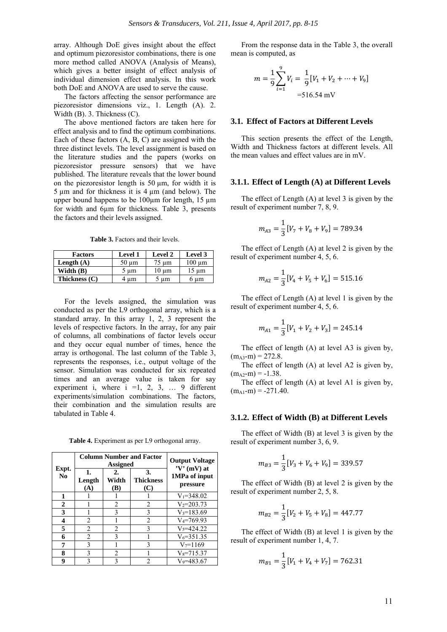array. Although DoE gives insight about the effect and optimum piezoresistor combinations, there is one more method called ANOVA (Analysis of Means), which gives a better insight of effect analysis of individual dimension effect analysis. In this work both DoE and ANOVA are used to serve the cause.

The factors affecting the sensor performance are piezoresistor dimensions viz., 1. Length (A). 2. Width (B). 3. Thickness (C).

The above mentioned factors are taken here for effect analysis and to find the optimum combinations. Each of these factors (A, B, C) are assigned with the three distinct levels. The level assignment is based on the literature studies and the papers (works on piezoresistor pressure sensors) that we have published. The literature reveals that the lower bound on the piezoresistor length is  $50 \mu m$ , for width it is  $5 \mu m$  and for thickness it is  $4 \mu m$  (and below). The upper bound happens to be  $100 \mu m$  for length, 15  $\mu$ m for width and 6µm for thickness. Table 3, presents the factors and their levels assigned.

**Table 3.** Factors and their levels.

| <b>Factors</b>  | <b>Level 1</b> | Level 2   | Level 3     |
|-----------------|----------------|-----------|-------------|
| Length $(A)$    | $50 \mu m$     | 75 um     | $100 \mu m$ |
| Width (B)       | 5 um           | 10 um     | 15 um       |
| Thickness $(C)$ | um             | $5 \mu m$ | $6 \mu m$   |

For the levels assigned, the simulation was conducted as per the L9 orthogonal array, which is a standard array. In this array 1, 2, 3 represent the levels of respective factors. In the array, for any pair of columns, all combinations of factor levels occur and they occur equal number of times, hence the array is orthogonal. The last column of the Table 3, represents the responses, i.e., output voltage of the sensor. Simulation was conducted for six repeated times and an average value is taken for say experiment i, where  $i = 1, 2, 3, \ldots 9$  different experiments/simulation combinations. The factors, their combination and the simulation results are tabulated in Table 4.

**Table 4.** Experiment as per L9 orthogonal array.

|                         | <b>Column Number and Factor</b><br><b>Assigned</b> |                    |                               | <b>Output Voltage</b><br>$'V'$ (mV) at |  |
|-------------------------|----------------------------------------------------|--------------------|-------------------------------|----------------------------------------|--|
| Expt.<br>N <sub>0</sub> | 1.<br>Length<br>(A)                                | 2.<br>Width<br>(B) | 3.<br><b>Thickness</b><br>(C) | 1MPa of input<br>pressure              |  |
| 1                       |                                                    |                    |                               | $V_1 = 348.02$                         |  |
| 2                       |                                                    | 2                  | 2                             | $V_2 = 203.73$                         |  |
| 3                       |                                                    | 3                  | 3                             | $V = 183.69$                           |  |
| 4                       | 2                                                  |                    | 2                             | $V_4 = 769.93$                         |  |
| 5                       | 2                                                  | 2                  | 3                             | $V_5 = 424.22$                         |  |
| 6                       | $\overline{2}$                                     | 3                  |                               | $V_6 = 351.35$                         |  |
| 7                       | 3                                                  |                    | 3                             | $V_7 = 1169$                           |  |
| 8                       | 3                                                  | 2                  |                               | $V_8 = 715.37$                         |  |
| q                       | $\mathbf{3}$                                       | ζ                  |                               | $V_9 = 483.67$                         |  |

From the response data in the Table 3, the overall mean is computed, as

$$
m = \frac{1}{9} \sum_{i=1}^{9} V_i = \frac{1}{9} [V_1 + V_2 + \dots + V_9]
$$
  
= 516.54 mV

#### **3.1. Effect of Factors at Different Levels**

This section presents the effect of the Length, Width and Thickness factors at different levels. All the mean values and effect values are in mV.

#### **3.1.1. Effect of Length (A) at Different Levels**

The effect of Length (A) at level 3 is given by the result of experiment number 7, 8, 9.

$$
m_{A3} = \frac{1}{3} [V_7 + V_8 + V_9] = 789.34
$$

The effect of Length (A) at level 2 is given by the result of experiment number 4, 5, 6.

$$
m_{A2} = \frac{1}{3} [V_4 + V_5 + V_6] = 515.16
$$

The effect of Length (A) at level 1 is given by the result of experiment number 4, 5, 6.

$$
m_{A1} = \frac{1}{3} [V_1 + V_2 + V_3] = 245.14
$$

The effect of length (A) at level A3 is given by,  $(m<sub>A3</sub>-m) = 272.8$ .

The effect of length (A) at level A2 is given by,  $(m_{A2}-m) = -1.38$ .

The effect of length (A) at level A1 is given by,  $(m_{A1} - m) = -271.40$ .

#### **3.1.2. Effect of Width (B) at Different Levels**

The effect of Width (B) at level 3 is given by the result of experiment number 3, 6, 9.

$$
m_{B3} = \frac{1}{3} [V_3 + V_6 + V_9] = 339.57
$$

The effect of Width (B) at level 2 is given by the result of experiment number 2, 5, 8.

$$
m_{B2} = \frac{1}{3} [V_2 + V_5 + V_8] = 447.77
$$

The effect of Width (B) at level 1 is given by the result of experiment number 1, 4, 7.

$$
m_{B1} = \frac{1}{3} [V_1 + V_4 + V_7] = 762.31
$$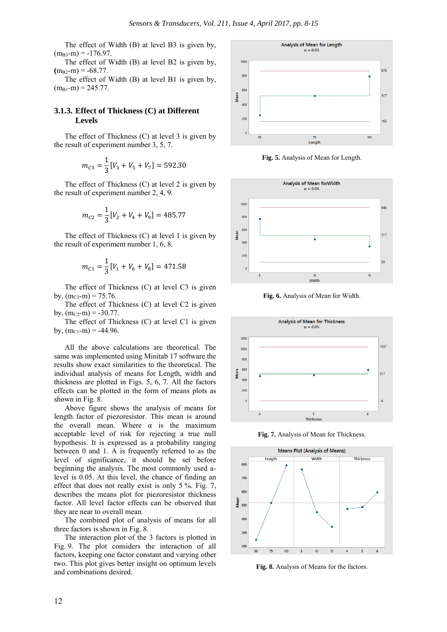The effect of Width (B) at level B3 is given by,  $(m_{B3}-m) = -176.97$ .

The effect of Width (B) at level B2 is given by,  $(m_{B2}-m) = -68.77$ .

The effect of Width (B) at level B1 is given by,  $(m_{B1}-m) = 245.77.$ 

#### **3.1.3. Effect of Thickness (C) at Different Levels**

The effect of Thickness (C) at level 3 is given by the result of experiment number 3, 5, 7.

$$
m_{C3} = \frac{1}{3} [V_3 + V_5 + V_7] = 592.30
$$

The effect of Thickness (C) at level 2 is given by the result of experiment number 2, 4, 9.

$$
m_{C2} = \frac{1}{3} [V_2 + V_4 + V_9] = 485.77
$$

The effect of Thickness (C) at level 1 is given by the result of experiment number 1, 6, 8.

$$
m_{C1} = \frac{1}{3} [V_1 + V_6 + V_8] = 471.58
$$

The effect of Thickness (C) at level C3 is given by,  $(m<sub>C3</sub>-m) = 75.76$ .

The effect of Thickness (C) at level C2 is given by,  $(m_{C2} - m) = -30.77$ .

The effect of Thickness (C) at level C1 is given by,  $(m_{C1} - m) = -44.96$ .

All the above calculations are theoretical. The same was implemented using Minitab 17 software the results show exact similarities to the theoretical. The individual analysis of means for Length, width and thickness are plotted in Figs. 5, 6, 7. All the factors effects can be plotted in the form of means plots as shown in Fig. 8.

Above figure shows the analysis of means for length factor of piezoresistor. This mean is around the overall mean. Where  $\alpha$  is the maximum acceptable level of risk for rejecting a true null hypothesis. It is expressed as a probability ranging between 0 and 1. A is frequently referred to as the level of significance, it should be set before beginning the analysis. The most commonly used alevel is 0.05. At this level, the chance of finding an effect that does not really exist is only 5 %. Fig. 7, describes the means plot for piezoresistor thickness factor. All level factor effects can be observed that they are near to overall mean.

The combined plot of analysis of means for all three factors is shown in Fig. 8.

The interaction plot of the 3 factors is plotted in Fig. 9. The plot considers the interaction of all factors, keeping one factor constant and varying other two. This plot gives better insight on optimum levels and combinations desired.



**Fig. 5.** Analysis of Mean for Length.



**Fig. 6.** Analysis of Mean for Width.



**Fig. 7.** Analysis of Mean for Thickness.



**Fig. 8.** Analysis of Means for the factors.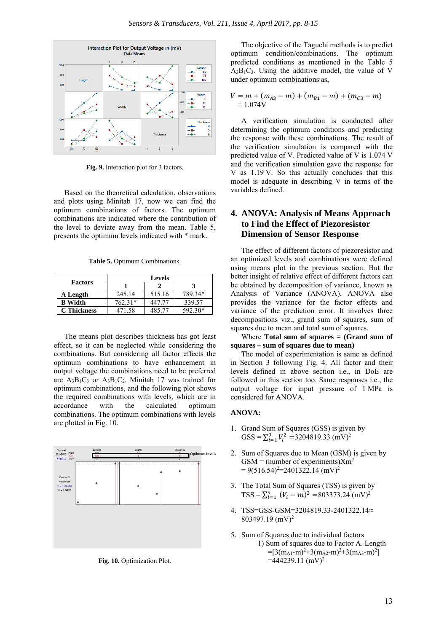

**Fig. 9.** Interaction plot for 3 factors.

Based on the theoretical calculation, observations and plots using Minitab 17, now we can find the optimum combinations of factors. The optimum combinations are indicated where the contribution of the level to deviate away from the mean. Table 5, presents the optimum levels indicated with \* mark.

**Table 5.** Optimum Combinations.

|                | <b>Levels</b> |        |         |  |
|----------------|---------------|--------|---------|--|
| <b>Factors</b> |               |        |         |  |
| A Length       | 245.14        | 515.16 | 789.34* |  |
| <b>B</b> Width | $762.31*$     | 447.77 | 339.57  |  |
| C Thickness    | 471.58        | 485.77 | 592.30* |  |

The means plot describes thickness has got least effect, so it can be neglected while considering the combinations. But considering all factor effects the optimum combinations to have enhancement in output voltage the combinations need to be preferred are  $A_3B_1C_3$  or  $A_3B_1C_2$ . Minitab 17 was trained for optimum combinations, and the following plot shows the required combinations with levels, which are in accordance with the calculated optimum combinations. The optimum combinations with levels are plotted in Fig. 10.



**Fig. 10.** Optimization Plot.

The objective of the Taguchi methods is to predict optimum condition/combinations. The optimum predicted conditions as mentioned in the Table 5  $A_3B_1C_3$ . Using the additive model, the value of V under optimum combinations as,

$$
V = m + (m_{A3} - m) + (m_{B1} - m) + (m_{C3} - m)
$$
  
= 1.074V

A verification simulation is conducted after determining the optimum conditions and predicting the response with these combinations. The result of the verification simulation is compared with the predicted value of V. Predicted value of V is 1.074 V and the verification simulation gave the response for V as 1.19 V. So this actually concludes that this model is adequate in describing V in terms of the variables defined.

# **4. ANOVA: Analysis of Means Approach to Find the Effect of Piezoresistor Dimension of Sensor Response**

The effect of different factors of piezoresistor and an optimized levels and combinations were defined using means plot in the previous section. But the better insight of relative effect of different factors can be obtained by decomposition of variance, known as Analysis of Variance (ANOVA). ANOVA also provides the variance for the factor effects and variance of the prediction error. It involves three decompositions viz., grand sum of squares, sum of squares due to mean and total sum of squares.

Where **Total sum of squares = (Grand sum of squares – sum of squares due to mean)** 

The model of experimentation is same as defined in Section 3 following Fig. 4. All factor and their levels defined in above section i.e., in DoE are followed in this section too. Same responses i.e., the output voltage for input pressure of 1 MPa is considered for ANOVA.

#### **ANOVA:**

- 1. Grand Sum of Squares (GSS) is given by  $GSS = \sum_{i=1}^{9} V_i^2 = 3204819.33 \text{ (mV)}^2$
- 2. Sum of Squares due to Mean (GSM) is given by  $GSM =$ (number of experiments) $Xm<sup>2</sup>$  $= 9(516.54)^{2} = 2401322.14$  (mV)<sup>2</sup>
- 3. The Total Sum of Squares (TSS) is given by  $TSS = \sum_{i=1}^{9} (V_i - m)^2 = 803373.24 \text{ (mV)}^2$
- 4. TSS=GSS-GSM=3204819.33-2401322.14≈ 803497.19 (mV)2
- 5. Sum of Squares due to individual factors 1) Sum of squares due to Factor A. Length  $=[3(m_{A1}-m)^{2}+3(m_{A2}-m)^{2}+3(m_{A3}-m)^{2}]$  $=444239.11$  (mV)<sup>2</sup>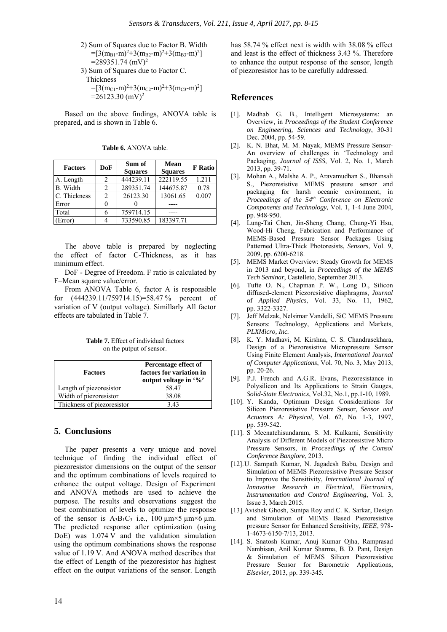2) Sum of Squares due to Factor B. Width =[3(mB1-m)2 +3(mB2-m)2 +3(mB3-m)2 ] =289351.74 (mV)2 3) Sum of Squares due to Factor C. Thickness =[3(mC1-m)2 +3(mC2-m)2 +3(mC3-m)2 ] =26123.30 (mV)2

Based on the above findings, ANOVA table is prepared, and is shown in Table 6.

**Table 6.** ANOVA table.

| <b>Factors</b> | <b>DoF</b>     | Sum of<br><b>Squares</b> | Mean<br><b>Squares</b> | <b>F</b> Ratio |
|----------------|----------------|--------------------------|------------------------|----------------|
| A. Length      | 2              | 444239.11                | 222119.55              | 1.211          |
| B. Width       | $\mathfrak{D}$ | 289351.74                | 144675.87              | 0.78           |
| C. Thickness   | 2              | 26123.30                 | 13061.65               | 0.007          |
| Error          | $\mathbf{0}$   |                          |                        |                |
| Total          | 6              | 759714.15                |                        |                |
| (Error)        |                | 733590.85                | 183397.71              |                |

The above table is prepared by neglecting the effect of factor C-Thickness, as it has minimum effect.

DoF - Degree of Freedom. F ratio is calculated by F=Mean square value/error.

From ANOVA Table 6, factor A is responsible for  $(444239.11/759714.15)=58.47\%$  percent of variation of V (output voltage). Simillarly All factor effects are tabulated in Table 7.

**Table 7.** Effect of individual factors on the putput of sensor.

| <b>Factors</b>             | Percentage effect of<br>factors for variation in<br>output voltage in '%' |
|----------------------------|---------------------------------------------------------------------------|
| Length of piezoresistor    | 58.47                                                                     |
| Width of piezoresistor     | 38.08                                                                     |
| Thickness of piezoresistor | 3.43                                                                      |

#### **5. Conclusions**

The paper presents a very unique and novel technique of finding the individual effect of piezoresistor dimensions on the output of the sensor and the optimum combinations of levels required to enhance the output voltage. Design of Experiment and ANOVA methods are used to achieve the purpose. The results and observations suggest the best combination of levels to optimize the response of the sensor is  $A_3B_1C_3$  i.e., 100  $\mu$ m×5  $\mu$ m×6  $\mu$ m. The predicted response after optimization (using DoE) was 1.074 V and the validation simulation using the optimum combinations shows the response value of 1.19 V. And ANOVA method describes that the effect of Length of the piezoresistor has highest effect on the output variations of the sensor. Length

has 58.74 % effect next is width with 38.08 % effect and least is the effect of thickness 3.43 %. Therefore to enhance the output response of the sensor, length of piezoresistor has to be carefully addressed.

#### **References**

- [1]. Madhab G. B., Intelligent Microsystems: an Overview, in *Proceedings of the Student Conference on Engineering, Sciences and Technology*, 30-31 Dec. 2004, pp. 54-59.
- [2]. K. N. Bhat, M. M. Nayak, MEMS Pressure Sensor-An overview of challenges in 'Technology and Packaging, *Journal of ISSS*, Vol. 2, No. 1, March 2013, pp. 39-71.
- [3]. Mohan A., Malshe A. P., Aravamudhan S., Bhansali S., Piezoresistive MEMS pressure sensor and packaging for harsh oceanic environment, in *Proceedings of the 54th Conference on Electronic Components and Technology,* Vol. 1, 1-4 June 2004, pp. 948-950.
- [4]. Lung-Tai Chen, Jin-Sheng Chang, Chung-Yi Hsu, Wood-Hi Cheng, Fabrication and Performance of MEMS-Based Pressure Sensor Packages Using Patterned Ultra-Thick Photoresists, *Sensors*, Vol. 9, 2009, pp. 6200-6218.
- [5]. MEMS Market Overview: Steady Growth for MEMS in 2013 and beyond, in *Proceedings of the MEMS Tech Seminar*, Castelleto, September 2013.
- [6]. Tufte O. N., Chapman P. W., Long D., Silicon diffused-element Piezoresistive diaphragms, *Journal* of *Applied Physics*, Vol. 33, No. 11, 1962, pp. 3322-3327.
- [7]. Jeff Melzak, Nelsimar Vandelli, SiC MEMS Pressure Sensors: Technology, Applications and Markets, *PLXMicro, Inc.*
- [8]. K. Y. Madhavi, M. Kirshna, C. S. Chandrasekhara, Design of a Piezoresistive Micropressure Sensor Using Finite Element Analysis, *International Journal of Computer Applications*, Vol. 70, No. 3, May 2013, pp. 20-26.
- [9]. P.J. French and A.G.R. Evans, Piezoresistance in Polysilicon and Its Applications to Strain Gauges, *Solid-State Electronics*, Vol.32, No.1, pp.1-10, 1989.
- [10]. Y. Kanda, Optimum Design Considerations for Silicon Piezoresistive Pressure Sensor, *Sensor and Actuators A: Physical*, Vol. 62, No. 1-3, 1997, pp. 539-542.
- [11]. S Meenatchisundaram, S. M. Kulkarni, Sensitivity Analysis of Different Models of Piezoresistive Micro Pressure Sensors, in *Proceedings of the Comsol Conference Banglore*, 2013*.*
- [12]. U. Sampath Kumar, N. Jagadesh Babu, Design and Simulation of MEMS Piezoresistive Pressure Sensor to Improve the Sensitivity, *International Journal of Innovative Research in Electrical, Electronics, Instrumentation and Control Engineering*, Vol. 3, Issue 3, March 2015.
- [13]. Avishek Ghosh, Sunipa Roy and C. K. Sarkar, Design and Simulation of MEMS Based Piezoresistive pressure Sensor for Enhanced Sensitivity, *IEEE*, 978- 1-4673-6150-7/13, 2013.
- [14]. S. Snatosh Kumar, Anuj Kumar Ojha, Ramprasad Nambisan, Anil Kumar Sharma, B. D. Pant, Design & Simulation of MEMS Silicon Piezoresistive Pressure Sensor for Barometric Applications, *Elsevier,* 2013, pp. 339-345*.*